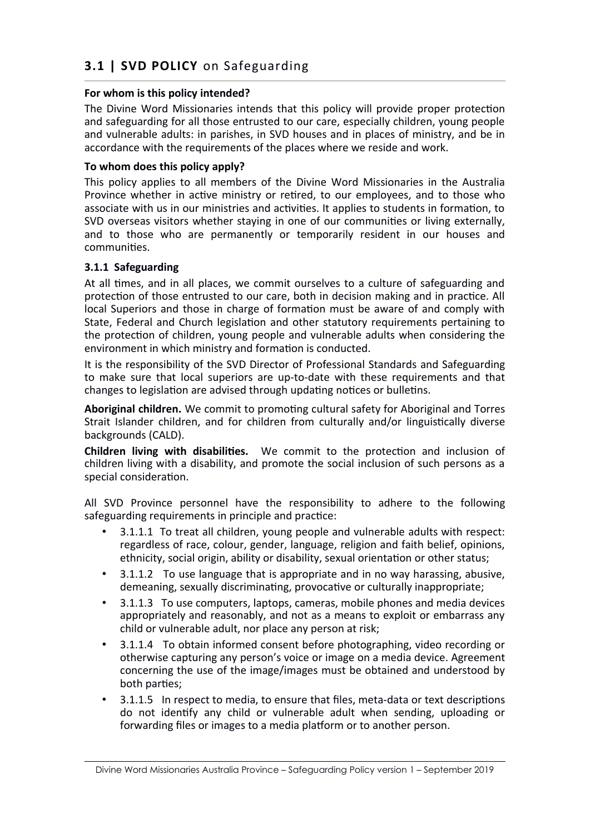# **3.1 | SVD POLICY** on Safeguarding

# **For whom is this policy intended?**

The Divine Word Missionaries intends that this policy will provide proper protection and safeguarding for all those entrusted to our care, especially children, young people and vulnerable adults: in parishes, in SVD houses and in places of ministry, and be in accordance with the requirements of the places where we reside and work.

## **To whom does this policy apply?**

This policy applies to all members of the Divine Word Missionaries in the Australia Province whether in active ministry or retired, to our employees, and to those who associate with us in our ministries and activities. It applies to students in formation, to SVD overseas visitors whether staying in one of our communities or living externally, and to those who are permanently or temporarily resident in our houses and communities.

# **3.1.1 Safeguarding**

At all times, and in all places, we commit ourselves to a culture of safeguarding and protection of those entrusted to our care, both in decision making and in practice. All local Superiors and those in charge of formation must be aware of and comply with State, Federal and Church legislation and other statutory requirements pertaining to the protection of children, young people and vulnerable adults when considering the environment in which ministry and formation is conducted.

It is the responsibility of the SVD Director of Professional Standards and Safeguarding to make sure that local superiors are up-to-date with these requirements and that changes to legislation are advised through updating notices or bulletins.

**Aboriginal children.** We commit to promoting cultural safety for Aboriginal and Torres Strait Islander children, and for children from culturally and/or linguistically diverse backgrounds (CALD).

**Children living with disabilities.** We commit to the protection and inclusion of children living with a disability, and promote the social inclusion of such persons as a special consideration.

All SVD Province personnel have the responsibility to adhere to the following safeguarding requirements in principle and practice:

- 3.1.1.1 To treat all children, young people and vulnerable adults with respect: regardless of race, colour, gender, language, religion and faith belief, opinions, ethnicity, social origin, ability or disability, sexual orientation or other status;
- 3.1.1.2 To use language that is appropriate and in no way harassing, abusive, demeaning, sexually discriminating, provocative or culturally inappropriate;
- 3.1.1.3 To use computers, laptops, cameras, mobile phones and media devices appropriately and reasonably, and not as a means to exploit or embarrass any child or vulnerable adult, nor place any person at risk;
- 3.1.1.4 To obtain informed consent before photographing, video recording or otherwise capturing any person's voice or image on a media device. Agreement concerning the use of the image/images must be obtained and understood by both parties;
- 3.1.1.5 In respect to media, to ensure that files, meta-data or text descriptions do not identify any child or vulnerable adult when sending, uploading or forwarding files or images to a media platform or to another person.